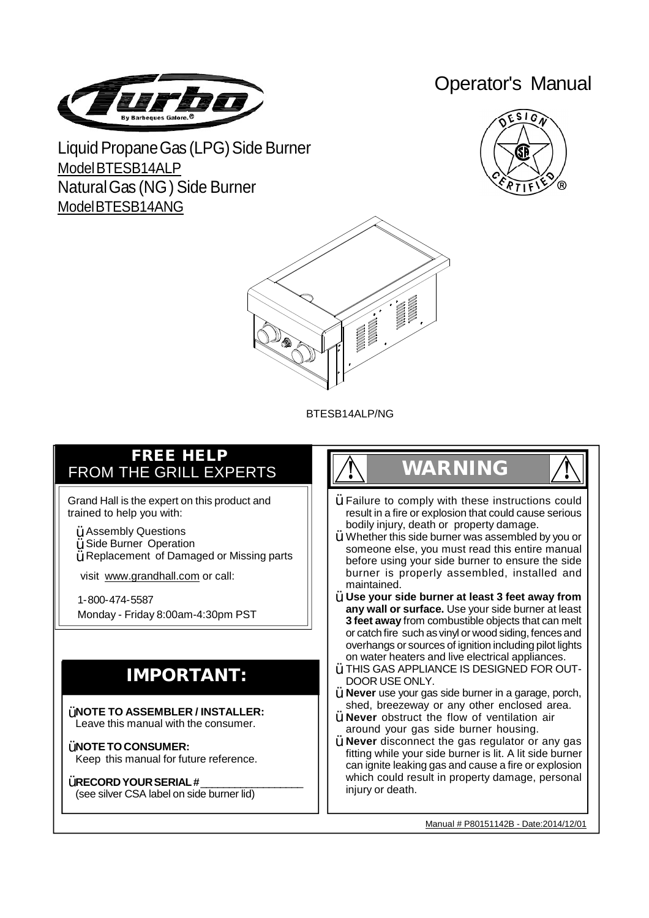

Operator's Manual

Liquid Propane Gas (LPG) Side Burner ModelBTESB14ALP NaturalGas (NG) Side Burner ModelBTESB14ANG





BTESB14ALP/NG

### **FREE HELP** FROM THE GRILL EXPERTS

Grand Hall is the expert on this product and trained to help you with:

- $\ddot{\textbf{Y}}$  Assembly Questions
- $\ddot{Y}$  Side Burner Operation
- $\breve{\mathsf{Y}}$  Replacement of Damaged or Missing parts

visit www.grandhall.com or call:

1-800-474-5587 Monday - Friday 8:00am-4:30pm PST

## **IMPORTANT:**

**NOTE TO ASSEMBLER / INSTALLER:** Ÿ Leave this manual with the consumer.

**NOTETO CONSUMER:** Ÿ Keep this manual for future reference.

### **RECORDYOURSERIAL #**\_\_\_\_\_\_\_\_\_\_\_\_\_\_\_\_\_\_ Ÿ

(see silver CSA label on side burner lid)

# **! WARNING !**

- $\ddot{\bm{\mathsf{Y}}}$  Failure to comply with these instructions could result in a fire or explosion that could cause serious bodily injury, death or property damage.
- $\ddot{\bm{\mathsf{Y}}}$  Whether this side burner was assembled by you or someone else, you must read this entire manual before using your side burner to ensure the side burner is properly assembled, installed and maintained.
- **Use your side burner at least 3 feet away from** Ÿ **any wall or surface.** Use your side burner at least **3 feet away** from combustible objects that can melt or catch fire such as vinyl or wood siding, fences and overhangs or sources of ignition including pilot lights on water heaters and live electrical appliances.
- $\mathsf{\dot{Y}}$  THIS GAS APPLIANCE IS DESIGNED FOR OUT-DOOR USE ONLY.
- **Never** use your gas side burner in a garage, porch, Ÿ shed, breezeway or any other enclosed area.
- **Never** obstruct the flow of ventilation air Ÿ around your gas side burner housing.
- **Never** disconnect the gas regulator or any gas fitting while your side burner is lit. A lit side burner can ignite leaking gas and cause a fire or explosion which could result in property damage, personal iniury or death. Ÿ

Manual # P80151142B - Date:2014/12/01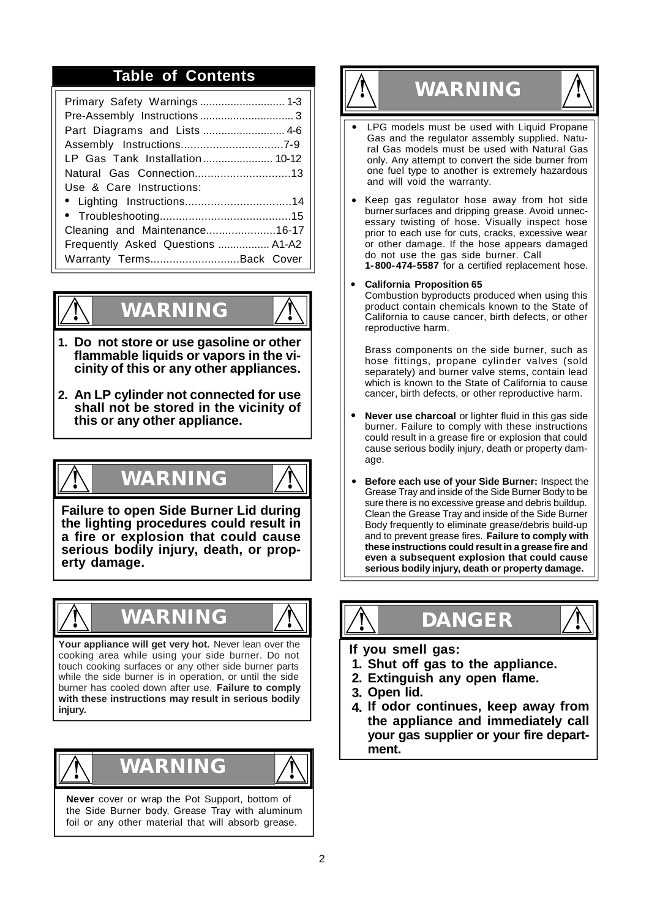# **Table of Contents ! WARNING !**

| Part Diagrams and Lists  4-6      |
|-----------------------------------|
|                                   |
| LP Gas Tank Installation 10-12    |
| Natural Gas Connection13          |
| Use & Care Instructions:          |
|                                   |
|                                   |
| Cleaning and Maintenance16-17     |
| Frequently Asked Questions  A1-A2 |
| Warranty TermsBack Cover          |



# **! WARNING !**

- **Do not store or use gasoline or other 1. flammable liquids or vapors in the vicinity of this or any other appliances.**
- **An LP cylinder not connected for use 2. shall not be stored in the vicinity of this or any other appliance.**

**! WARNING !**

**Failure to open Side Burner Lid during the lighting procedures could result in a fire or explosion that could cause serious bodily injury, death, or property damage.**



## **! WARNING !**



**Your appliance will get very hot.** Never lean over the cooking area while using your side burner. Do not touch cooking surfaces or any other side burner parts while the side burner is in operation, or until the side burner has cooled down after use. **Failure to comply with these instructions may result in serious bodily injury.**



**Never** cover or wrap the Pot Support, bottom of the Side Burner body, Grease Tray with aluminum foil or any other material that will absorb grease.



- **•** LPG models must be used with Liquid Propane Gas and the regulator assembly supplied. Natural Gas models must be used with Natural Gas only. Any attempt to convert the side burner from one fuel type to another is extremely hazardous and will void the warranty.
- Keep gas regulator hose away from hot side **•** burner surfaces and dripping grease. Avoid unnecessary twisting of hose. Visually inspect hose prior to each use for cuts, cracks, excessive wear or other damage. If the hose appears damaged do not use the gas side burner. Call **1-800-474-5587** for a certified replacement hose.
- **California Proposition 65 •**

Combustion byproducts produced when using this product contain chemicals known to the State of California to cause cancer, birth defects, or other reproductive harm.

Brass components on the side burner, such as hose fittings, propane cylinder valves (sold separately) and burner valve stems, contain lead which is known to the State of California to cause cancer, birth defects, or other reproductive harm.

- **Never use charcoal** or lighter fluid in this gas side burner. Failure to comply with these instructions could result in a grease fire or explosion that could cause serious bodily injury, death or property damage. **•**
- **Before each use of your Side Burner:** Inspect the Grease Tray and inside of the Side Burner Body to be sure there is no excessive grease and debris buildup. Clean the Grease Tray and inside of the Side Burner Body frequently to eliminate grease/debris build-up and to prevent grease fires. **Failure to comply with these instructions could result in a grease fire and even a subsequent explosion that could cause serious bodily injury, death or property damage. •**



- **If you smell gas:**
- **1. Shut off gas to the appliance.**

**! DANGER !**

- **2. Extinguish any open flame.**
- **3. Open lid.**
- **4. If odor continues, keep away from the appliance and immediately call your gas supplier or your fire department.**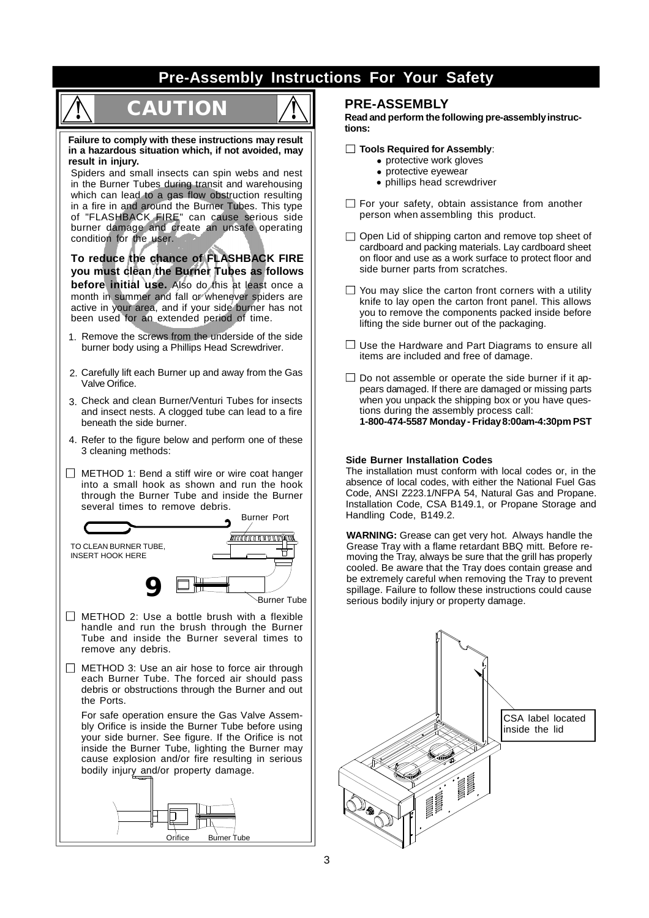### **Pre-Assembly Instructions For Your Safety**

# **! CAUTION !**



**Failure to comply with these instructions may result in a hazardous situation which, if not avoided, may result in injury.**

Spiders and small insects can spin webs and nest in the Burner Tubes during transit and warehousing which can lead to a gas flow obstruction resulting in a fire in and around the Burner Tubes. This type of "FLASHBACK FIRE" can cause serious side burner damage and create an unsafe operating condition for the user.

**To reduce the chance of FLASHBACK FIRE you must clean the Burner Tubes as follows before initial use.** Also do this at least once a month in summer and fall or whenever spiders are active in your area, and if your side burner has not been used for an extended period of time.

- 1. Remove the screws from the underside of the side burner body using a Phillips Head Screwdriver.
- 2. Carefully lift each Burner up and away from the Gas Valve Orifice.
- 3. Check and clean Burner/Venturi Tubes for insects and insect nests. A clogged tube can lead to a fire beneath the side burner.
- 4. Refer to the figure below and perform one of these 3 cleaning methods:
- $\Box$  METHOD 1: Bend a stiff wire or wire coat hanger into a small hook as shown and run the hook through the Burner Tube and inside the Burner several times to remove debris.



- handle and run the brush through the Burner Tube and inside the Burner several times to remove any debris.
- $\Box$  METHOD 3: Use an air hose to force air through each Burner Tube. The forced air should pass debris or obstructions through the Burner and out the Ports.

For safe operation ensure the Gas Valve Assembly Orifice is inside the Burner Tube before using your side burner. See figure. If the Orifice is not inside the Burner Tube, lighting the Burner may cause explosion and/or fire resulting in serious bodily injury and/or property damage.



### **PRE-ASSEMBLY**

**Read and perform the following pre-assemblyinstructions:**

- **Tools Required for Assembly**:
	- **•** protective work gloves
	- **•** protective eyewear
	- **•** phillips head screwdriver
- $\Box$  For your safety, obtain assistance from another person when assembling this product.
- $\Box$  Open Lid of shipping carton and remove top sheet of cardboard and packing materials. Lay cardboard sheet on floor and use as a work surface to protect floor and side burner parts from scratches.
- $\Box$  You may slice the carton front corners with a utility knife to lay open the carton front panel. This allows you to remove the components packed inside before lifting the side burner out of the packaging.
- $\Box$  Use the Hardware and Part Diagrams to ensure all items are included and free of damage.
- $\Box$  Do not assemble or operate the side burner if it appears damaged. If there are damaged or missing parts when you unpack the shipping box or you have questions during the assembly process call: **1-800-474-5587 Monday- Friday8:00am-4:30pm PST**

### **Side Burner Installation Codes**

The installation must conform with local codes or, in the absence of local codes, with either the National Fuel Gas Code, ANSI Z223.1/NFPA 54, Natural Gas and Propane. Installation Code, CSA B149.1, or Propane Storage and Handling Code, B149.2.

**WARNING:** Grease can get very hot. Always handle the Grease Tray with a flame retardant BBQ mitt. Before removing the Tray, always be sure that the grill has properly cooled. Be aware that the Tray does contain grease and be extremely careful when removing the Tray to prevent spillage. Failure to follow these instructions could cause serious bodily injury or property damage.

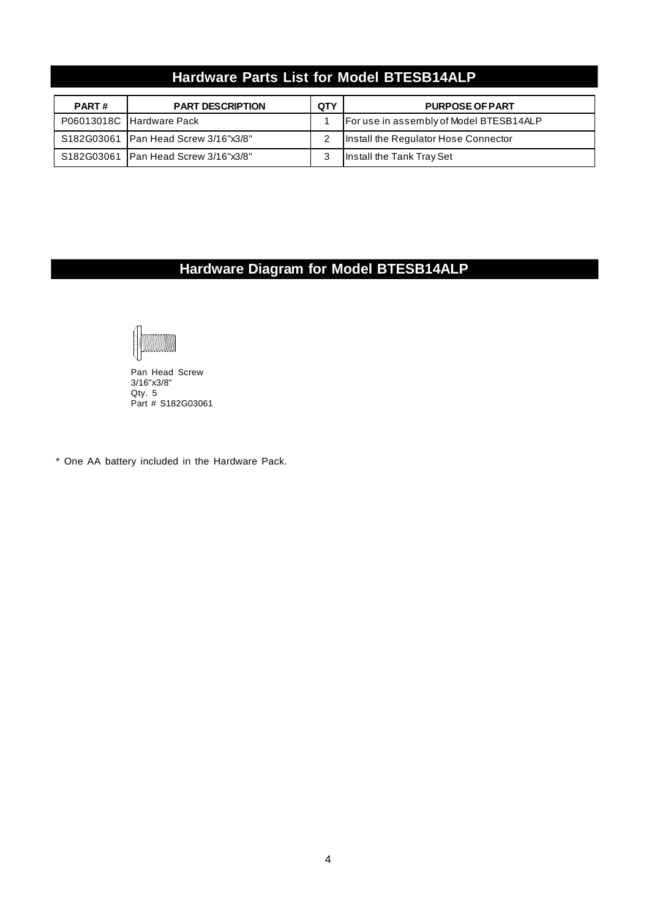### **Hardware Parts List for Model BTESB14ALP**

| <b>PART#</b> | <b>PART DESCRIPTION</b>                | QTY | <b>PURPOSE OF PART</b>                  |
|--------------|----------------------------------------|-----|-----------------------------------------|
|              | P06013018C Hardware Pack               |     | For use in assembly of Model BTESB14ALP |
|              | S182G03061   Pan Head Screw 3/16"x3/8" |     | Install the Regulator Hose Connector    |
|              | S182G03061   Pan Head Screw 3/16"x3/8" |     | Install the Tank Tray Set               |

### **Hardware Diagram for Model BTESB14ALP**



Pan Head Screw 3/16"x3/8" Qty. 5 Part # S182G03061

\* One AA battery included in the Hardware Pack.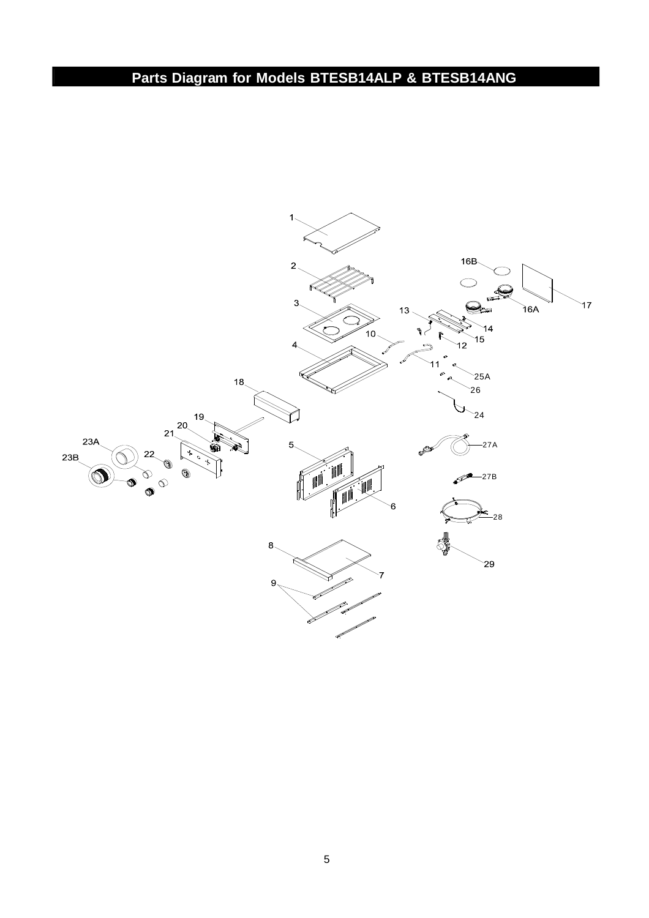### **Parts Diagram for Models BTESB14ALP & BTESB14ANG**

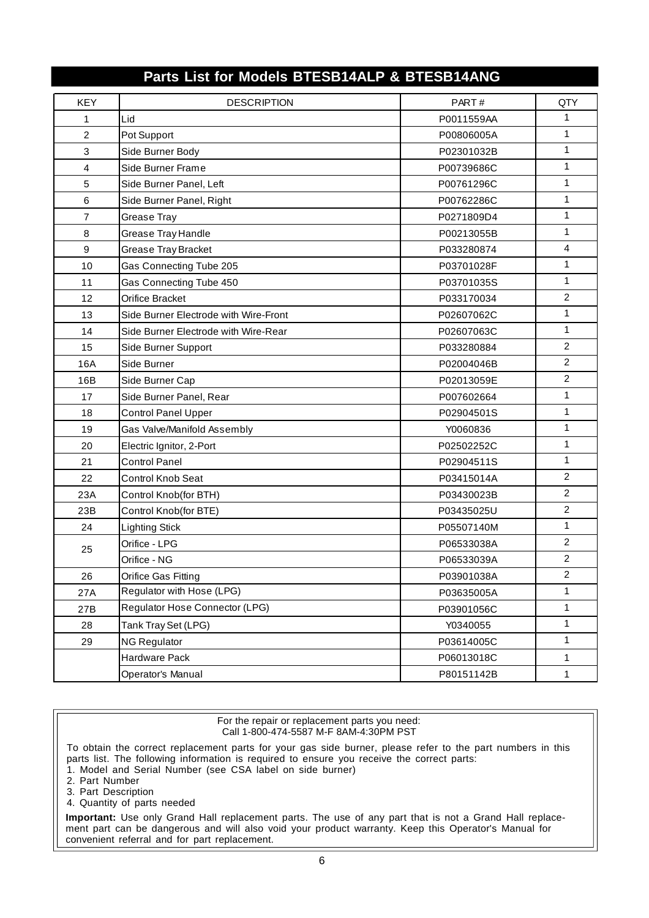| <b>KEY</b>     | <b>DESCRIPTION</b>                    | PART#      | QTY            |
|----------------|---------------------------------------|------------|----------------|
| 1              | Lid                                   | P0011559AA | $\mathbf{1}$   |
| $\overline{2}$ | Pot Support                           | P00806005A | 1              |
| 3              | Side Burner Body                      | P02301032B | $\mathbf{1}$   |
| 4              | Side Burner Frame                     | P00739686C | 1              |
| 5              | Side Burner Panel, Left               | P00761296C | 1              |
| 6              | Side Burner Panel, Right              | P00762286C | 1              |
| 7              | Grease Tray                           | P0271809D4 | $\mathbf{1}$   |
| 8              | Grease Tray Handle                    | P00213055B | $\mathbf{1}$   |
| 9              | Grease Tray Bracket                   | P033280874 | $\overline{4}$ |
| 10             | Gas Connecting Tube 205               | P03701028F | $\mathbf{1}$   |
| 11             | Gas Connecting Tube 450               | P03701035S | $\mathbf{1}$   |
| 12             | Orifice Bracket                       | P033170034 | $\overline{c}$ |
| 13             | Side Burner Electrode with Wire-Front | P02607062C | 1              |
| 14             | Side Burner Electrode with Wire-Rear  | P02607063C | 1              |
| 15             | Side Burner Support                   | P033280884 | $\overline{c}$ |
| 16A            | Side Burner                           | P02004046B | $\overline{c}$ |
| 16B            | Side Burner Cap                       | P02013059E | $\overline{c}$ |
| 17             | Side Burner Panel, Rear               | P007602664 | 1              |
| 18             | <b>Control Panel Upper</b>            | P02904501S | $\mathbf{1}$   |
| 19             | Gas Valve/Manifold Assembly           | Y0060836   | $\mathbf{1}$   |
| 20             | Electric Ignitor, 2-Port              | P02502252C | 1              |
| 21             | <b>Control Panel</b>                  | P02904511S | $\mathbf{1}$   |
| 22             | Control Knob Seat                     | P03415014A | $\overline{c}$ |
| 23A            | Control Knob(for BTH)                 | P03430023B | $\overline{c}$ |
| 23B            | Control Knob(for BTE)                 | P03435025U | $\overline{2}$ |
| 24             | <b>Lighting Stick</b>                 | P05507140M | $\mathbf{1}$   |
| 25             | Orifice - LPG                         | P06533038A | $\overline{c}$ |
|                | Orifice - NG                          | P06533039A | $\overline{c}$ |
| 26             | Orifice Gas Fitting                   | P03901038A | $\overline{c}$ |
| 27A            | Regulator with Hose (LPG)             | P03635005A | 1              |
| 27B            | Regulator Hose Connector (LPG)        | P03901056C | 1              |
| 28             | Tank Tray Set (LPG)                   | Y0340055   | 1              |
| 29             | <b>NG Regulator</b>                   | P03614005C | $\mathbf{1}$   |
|                | Hardware Pack                         | P06013018C | 1              |
|                | Operator's Manual                     | P80151142B | 1              |

### **Parts List for Models BTESB14ALP & BTESB14ANG**

For the repair or replacement parts you need: Call 1-800-474-5587 M-F 8AM-4:30PM PST

To obtain the correct replacement parts for your gas side burner, please refer to the part numbers in this parts list. The following information is required to ensure you receive the correct parts: 1. Model and Serial Number (see CSA label on side burner)

- 2. Part Number
- 
- 3. Part Description
- 4. Quantity of parts needed

**Important:** Use only Grand Hall replacement parts. The use of any part that is not a Grand Hall replacement part can be dangerous and will also void your product warranty. Keep this Operator's Manual for convenient referral and for part replacement.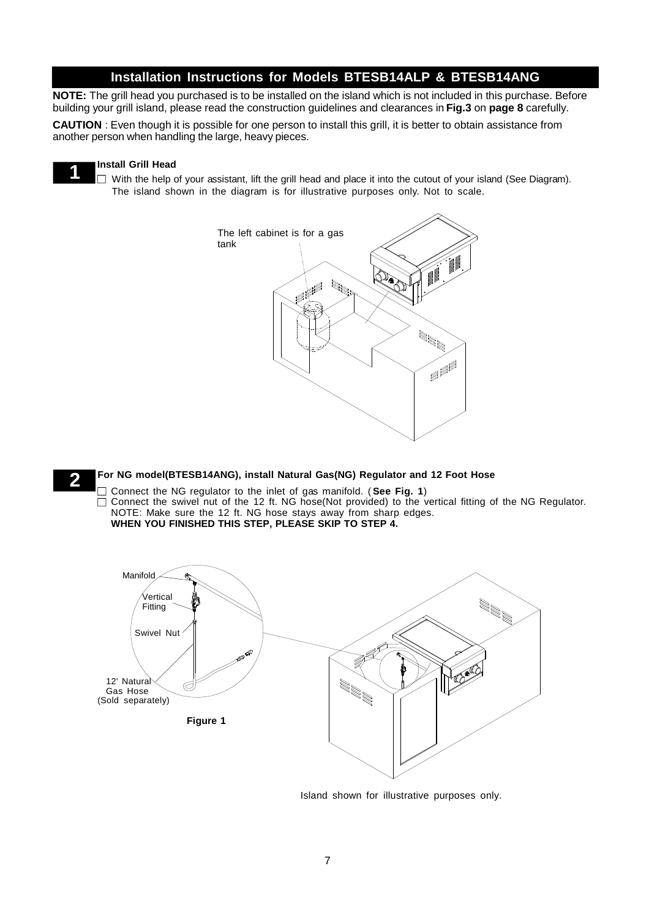### **Installation Instructions for Models BTESB14ALP & BTESB14ANG**

**NOTE:** The grill head you purchased is to be installed on the island which is not included in this purchase. Before building your grill island, please read the construction guidelines and clearances in **Fig.3** on **page 8** carefully.

**CAUTION** : Even though it is possible for one person to install this grill, it is better to obtain assistance from another person when handling the large, heavy pieces.

### **Install Grill Head**

**1**

**2**

 $\Box$  With the help of your assistant, lift the grill head and place it into the cutout of your island (See Diagram). The island shown in the diagram is for illustrative purposes only. Not to scale.



### **For NG model(BTESB14ANG), install Natural Gas(NG) Regulator and 12 Foot Hose**

Connect the NG regulator to the inlet of gas manifold. ( **See Fig. 1**) Connect the swivel nut of the 12 ft. NG hose(Not provided) to the vertical fitting of the NG Regulator. NOTE: Make sure the 12 ft. NG hose stays away from sharp edges. **WHEN YOU FINISHED THIS STEP, PLEASE SKIP TO STEP 4.**



Island shown for illustrative purposes only.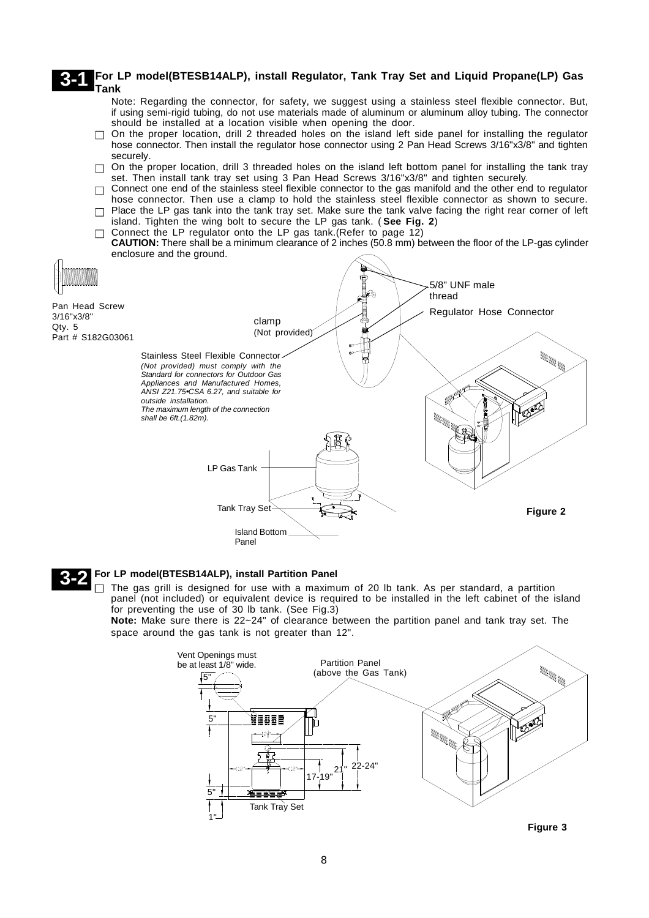#### **For LP model(BTESB14ALP), install Regulator, Tank Tray Set and Liquid Propane(LP) Gas Tank 3-1**

- Note: Regarding the connector, for safety, we suggest using a stainless steel flexible connector. But, if using semi-rigid tubing, do not use materials made of aluminum or aluminum alloy tubing. The connector should be installed at a location visible when opening the door.
- $\Box$ On the proper location, drill 2 threaded holes on the island left side panel for installing the regulator hose connector. Then install the regulator hose connector using 2 Pan Head Screws 3/16"x3/8" and tighten securely.
- $\Box$  On the proper location, drill 3 threaded holes on the island left bottom panel for installing the tank tray set. Then install tank tray set using 3 Pan Head Screws 3/16"x3/8" and tighten securely.
- $\Box$  Connect one end of the stainless steel flexible connector to the gas manifold and the other end to regulator hose connector. Then use a clamp to hold the stainless steel flexible connector as shown to secure.
- $\Box$  Place the LP gas tank into the tank tray set. Make sure the tank valve facing the right rear corner of left island. Tighten the wing bolt to secure the LP gas tank. ( **See Fig. 2**)
- $\Box$  Connect the LP regulator onto the LP gas tank. (Refer to page 12) **CAUTION:** There shall be a minimum clearance of 2 inches (50.8 mm) between the floor of the LP-gas cylinder enclosure and the ground.



### **3-2 For LP model(BTESB14ALP), install Partition Panel**

 $\Box$  The gas grill is designed for use with a maximum of 20 lb tank. As per standard, a partition panel (not included) or equivalent device is required to be installed in the left cabinet of the island for preventing the use of 30 lb tank. (See Fig.3)

**Note:** Make sure there is 22~24" of clearance between the partition panel and tank tray set. The space around the gas tank is not greater than 12".



**Figure 3**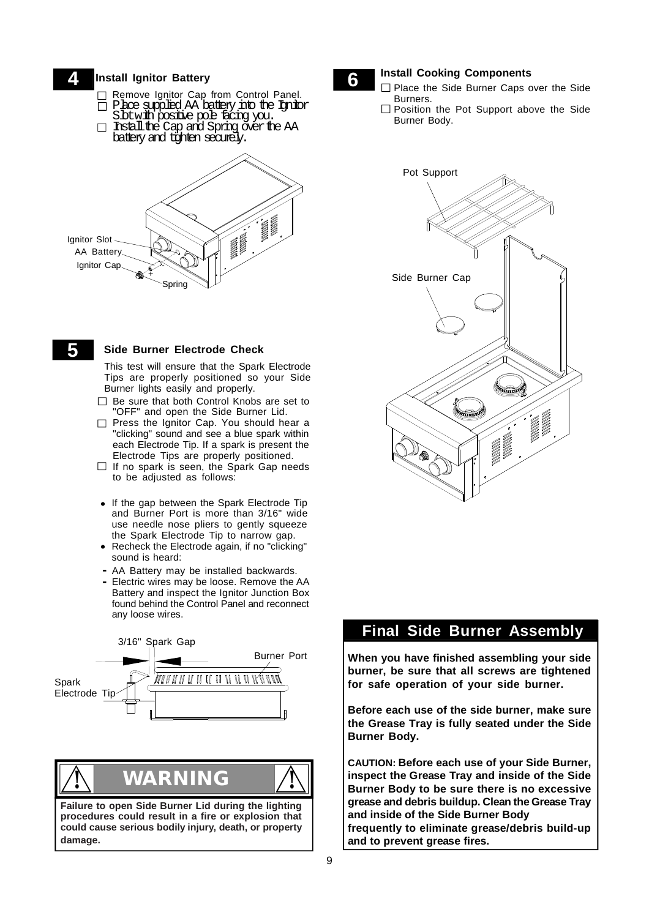#### **Install Ignitor Battery 4**

- Remove Ignitor Cap from Control Panel.
- $\Box$  Place supplied AA battery into the Ignitor
- Sbtwith positive pole facing you. Instalthe Cap and Spring overthe AA  $\Box$ bateryand tighten securely.



### **5 Side Burner Electrode Check**

This test will ensure that the Spark Electrode Tips are properly positioned so your Side Burner lights easily and properly.

- □ Be sure that both Control Knobs are set to "OFF" and open the Side Burner Lid.
- □ Press the Ignitor Cap. You should hear a "clicking" sound and see a blue spark within each Electrode Tip. If a spark is present the Electrode Tips are properly positioned.
- $\Box$  If no spark is seen, the Spark Gap needs to be adjusted as follows:
- **•** If the gap between the Spark Electrode Tip and Burner Port is more than 3/16" wide use needle nose pliers to gently squeeze the Spark Electrode Tip to narrow gap.
- **•** Recheck the Electrode again, if no "clicking" sound is heard:
- AA Battery may be installed backwards. **-**
- Electric wires may be loose. Remove the AA **-** Battery and inspect the Ignitor Junction Box found behind the Control Panel and reconnect any loose wires.



**! WARNING !**

**Failure to open Side Burner Lid during the lighting procedures could result in a fire or explosion that could cause serious bodily injury, death, or property damage.**



- **6 Install Cooking Components**<br>□ Place the Side Burner Caps over the Side Burners.
	- П Position the Pot Support above the Side Burner Body.



### **Final Side Burner Assembly**

**Step When you have finished assembling your side burner, be sure that all screws are tightened for safe operation of your side burner.**

**Before each use of the side burner, make sure the Grease Tray is fully seated under the Side Burner Body.**

**CAUTION: Before each use of your Side Burner, inspect the Grease Tray and inside of the Side Burner Body to be sure there is no excessive grease and debris buildup. Clean the Grease Tray and inside of the Side Burner Body frequently to eliminate grease/debris build-up and to prevent grease fires.**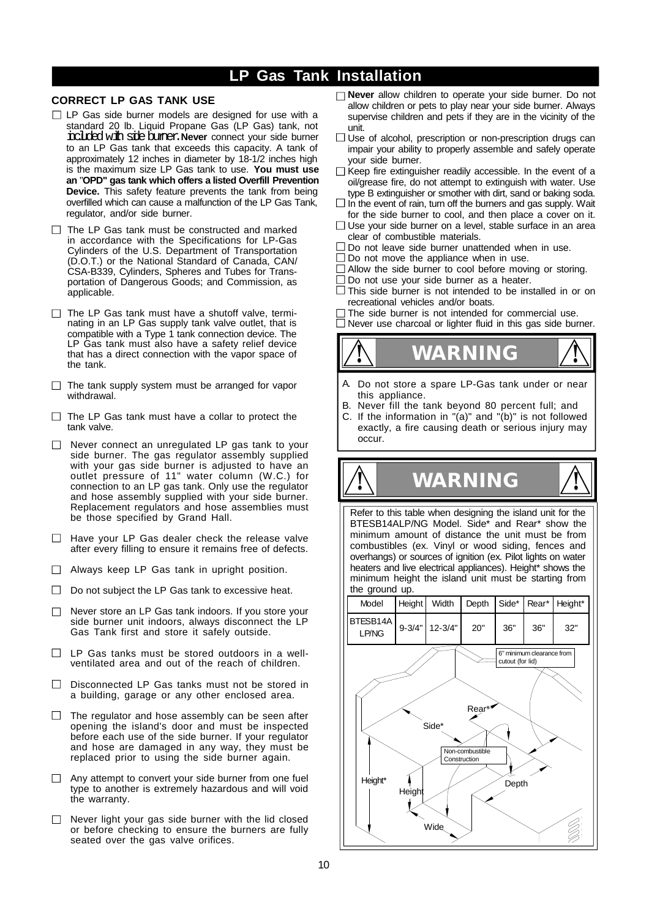### **LP Gas Tank Installation**

### **CORRECT LP GAS TANK USE**

- $\Box$  LP Gas side burner models are designed for use with a standard 20 lb. Liquid Propane Gas (LP Gas) tank, not included with side burner. Never connect your side burner to an LP Gas tank that exceeds this capacity. A tank of approximately 12 inches in diameter by 18-1/2 inches high is the maximum size LP Gas tank to use. **You must use an** "**OPD" gas tank which offers a listed Overfill Prevention Device.** This safety feature prevents the tank from being overfilled which can cause a malfunction of the LP Gas Tank, regulator, and/or side burner.
- $\Box$  The LP Gas tank must be constructed and marked in accordance with the Specifications for LP-Gas Cylinders of the U.S. Department of Transportation (D.O.T.) or the National Standard of Canada, CAN/ CSA-B339, Cylinders, Spheres and Tubes for Transportation of Dangerous Goods; and Commission, as applicable.
- $\Box$  The LP Gas tank must have a shutoff valve, terminating in an LP Gas supply tank valve outlet, that is compatible with a Type 1 tank connection device. The LP Gas tank must also have a safety relief device that has a direct connection with the vapor space of the tank.
- $\Box$  The tank supply system must be arranged for vapor withdrawal.
- $\Box$  The LP Gas tank must have a collar to protect the tank valve.
- □ Never connect an unregulated LP gas tank to your side burner. The gas regulator assembly supplied with your gas side burner is adjusted to have an outlet pressure of 11" water column (W.C.) for connection to an LP gas tank. Only use the regulator and hose assembly supplied with your side burner. Replacement regulators and hose assemblies must be those specified by Grand Hall.
- Have your LP Gas dealer check the release valve  $\Box$ after every filling to ensure it remains free of defects.
- $\Box$  Always keep LP Gas tank in upright position.
- $\Box$  Do not subject the LP Gas tank to excessive heat.
- $\Box$ Never store an LP Gas tank indoors. If you store your side burner unit indoors, always disconnect the LP Gas Tank first and store it safely outside.
- $\Box$  LP Gas tanks must be stored outdoors in a wellventilated area and out of the reach of children.
- $\Box$  Disconnected LP Gas tanks must not be stored in a building, garage or any other enclosed area.
- $\Box$  The regulator and hose assembly can be seen after opening the island's door and must be inspected before each use of the side burner. If your regulator and hose are damaged in any way, they must be replaced prior to using the side burner again.
- $\Box$  Any attempt to convert your side burner from one fuel type to another is extremely hazardous and will void the warranty.
- $\Box$  Never light your gas side burner with the lid closed or before checking to ensure the burners are fully seated over the gas valve orifices.
- **Never** allow children to operate your side burner. Do not allow children or pets to play near your side burner. Always supervise children and pets if they are in the vicinity of the unit.
- $\Box$  Use of alcohol, prescription or non-prescription drugs can impair your ability to properly assemble and safely operate your side burner.
- $\Box$  Keep fire extinguisher readily accessible. In the event of a oil/grease fire, do not attempt to extinguish with water. Use type B extinguisher or smother with dirt, sand or baking soda.
- $\Box$  In the event of rain, turn off the burners and gas supply. Wait for the side burner to cool, and then place a cover on it.
- $\Box$  Use your side burner on a level, stable surface in an area clear of combustible materials.
- $\Box$  Do not leave side burner unattended when in use.
- $\square$  Do not move the appliance when in use.
- □ Allow the side burner to cool before moving or storing.
- □ Do not use your side burner as a heater.
- $\Box$  This side burner is not intended to be installed in or on recreational vehicles and/or boats.
- The side burner is not intended for commercial use.

Never use charcoal or lighter fluid in this gas side burner.



- Do not store a spare LP-Gas tank under or near this appliance. A.
- Never fill the tank beyond 80 percent full; and B.
- If the information in "(a)" and "(b)" is not followed exactly, a fire causing death or serious injury may occur. C.

**! WARNING !**

Refer to this table when designing the island unit for the BTESB14ALP/NG Model. Side\* and Rear\* show the minimum amount of distance the unit must be from combustibles (ex. Vinyl or wood siding, fences and overhangs) or sources of ignition (ex. Pilot lights on water heaters and live electrical appliances). Height\* shows the minimum height the island unit must be starting from the ground up.

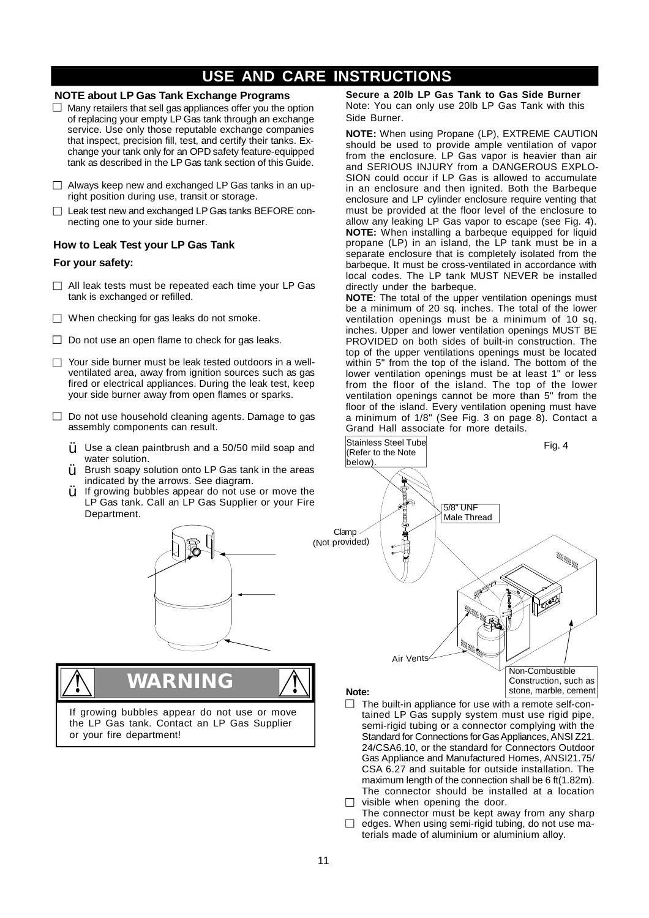### **NOTE about LP Gas Tank Exchange Programs**

- $\Box$  Many retailers that sell gas appliances offer you the option of replacing your empty LP Gas tank through an exchange service. Use only those reputable exchange companies that inspect, precision fill, test, and certify their tanks. Exchange your tank only for an OPD safety feature-equipped tank as described in the LP Gas tank section of this Guide.
- $\Box$  Always keep new and exchanged LP Gas tanks in an upright position during use, transit or storage.
- □ Leak test new and exchanged LP Gas tanks BEFORE connecting one to your side burner.

### **How to Leak Test your LP Gas Tank**

### **For your safety:**

- $\Box$  All leak tests must be repeated each time your LP Gas tank is exchanged or refilled.
- $\Box$  When checking for gas leaks do not smoke.
- $\Box$  Do not use an open flame to check for gas leaks.
- □ Your side burner must be leak tested outdoors in a wellventilated area, away from ignition sources such as gas fired or electrical appliances. During the leak test, keep your side burner away from open flames or sparks.
- □ Do not use household cleaning agents. Damage to gas assembly components can result.
	- $\ddot{Y}$  Use a clean paintbrush and a 50/50 mild soap and water solution.
	- Brush soapy solution onto LP Gas tank in the areas indicated by the arrows. See diagram. Ÿ
	- If growing bubbles appear do not use or move the LP Gas tank. Call an LP Gas Supplier or your Fire Department. Ÿ



**! WARNING !**

If growing bubbles appear do not use or move the LP Gas tank. Contact an LP Gas Supplier or your fire department!

**Secure a 20lb LP Gas Tank to Gas Side Burner** Note: You can only use 20lb LP Gas Tank with this Side Burner.

**NOTE:** When using Propane (LP), EXTREME CAUTION should be used to provide ample ventilation of vapor from the enclosure. LP Gas vapor is heavier than air and SERIOUS INJURY from a DANGEROUS EXPLO-SION could occur if LP Gas is allowed to accumulate in an enclosure and then ignited. Both the Barbeque enclosure and LP cylinder enclosure require venting that must be provided at the floor level of the enclosure to allow any leaking LP Gas vapor to escape (see Fig. 4). **NOTE:** When installing a barbeque equipped for liquid propane (LP) in an island, the LP tank must be in a separate enclosure that is completely isolated from the barbeque. It must be cross-ventilated in accordance with local codes. The LP tank MUST NEVER be installed directly under the barbeque.

**NOTE**: The total of the upper ventilation openings must be a minimum of 20 sq. inches. The total of the lower ventilation openings must be a minimum of 10 sq. inches. Upper and lower ventilation openings MUST BE PROVIDED on both sides of built-in construction. The top of the upper ventilations openings must be located within 5" from the top of the island. The bottom of the lower ventilation openings must be at least 1" or less from the floor of the island. The top of the lower ventilation openings cannot be more than 5" from the floor of the island. Every ventilation opening must have a minimum of 1/8" (See Fig. 3 on page 8). Contact a Grand Hall associate for more details.



#### **Note:**

- $\Box$  The built-in appliance for use with a remote self-contained LP Gas supply system must use rigid pipe, semi-rigid tubing or a connector complying with the Standard for Connections for Gas Appliances, ANSI Z21. 24/CSA6.10, or the standard for Connectors Outdoor Gas Appliance and Manufactured Homes, ANSI21.75/ CSA 6.27 and suitable for outside installation. The maximum length of the connection shall be 6 ft(1.82m). The connector should be installed at a location
- $\Box$  visible when opening the door.
- The connector must be kept away from any sharp  $\Box$  edges. When using semi-rigid tubing, do not use materials made of aluminium or aluminium alloy.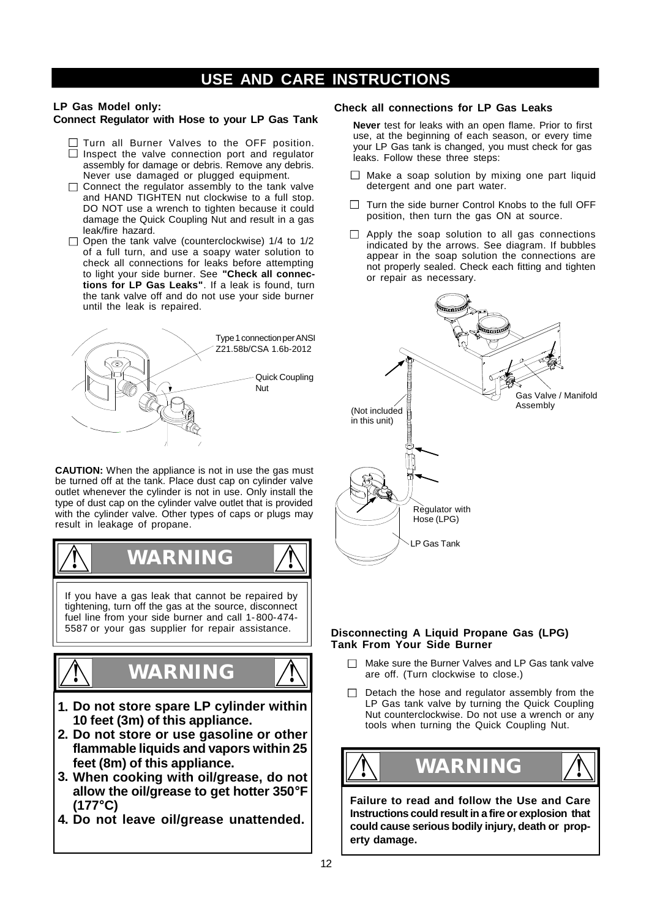### **LP Gas Model only:**

### **Connect Regulator with Hose to your LP Gas Tank**

- $\Box$  Turn all Burner Valves to the OFF position.  $\Box$  Inspect the valve connection port and regulator assembly for damage or debris. Remove any debris. Never use damaged or plugged equipment.
- $\Box$  Connect the regulator assembly to the tank valve and HAND TIGHTEN nut clockwise to a full stop. DO NOT use a wrench to tighten because it could damage the Quick Coupling Nut and result in a gas leak/fire hazard.
- $\Box$  Open the tank valve (counterclockwise) 1/4 to 1/2 of a full turn, and use a soapy water solution to check all connections for leaks before attempting to light your side burner. See **"Check all connections for LP Gas Leaks"**. If a leak is found, turn the tank valve off and do not use your side burner until the leak is repaired.



**CAUTION:** When the appliance is not in use the gas must be turned off at the tank. Place dust cap on cylinder valve outlet whenever the cylinder is not in use. Only install the type of dust cap on the cylinder valve outlet that is provided with the cylinder valve. Other types of caps or plugs may result in leakage of propane.



tightening, turn off the gas at the source, disconnect fuel line from your side burner and call 1- 800-474- 5587 or your gas supplier for repair assistance.





**1. Do not store spare LP cylinder within 10 feet (3m) of this appliance.**

**! WARNING**

- **Do not store or use gasoline or other 2. flammable liquids and vapors within 25 feet (8m) of this appliance.**
- **When cooking with oil/grease, do not 3. allow the oil/grease to get hotter 350°F (177°C)**
- **4. Do not leave oil/grease unattended.**

### **Check all connections for LP Gas Leaks**

**Never** test for leaks with an open flame. Prior to first use, at the beginning of each season, or every time your LP Gas tank is changed, you must check for gas leaks. Follow these three steps:

- $\Box$  Make a soap solution by mixing one part liquid detergent and one part water.
- $\Box$  Turn the side burner Control Knobs to the full OFF position, then turn the gas ON at source.
- $\Box$  Apply the soap solution to all gas connections indicated by the arrows. See diagram. If bubbles appear in the soap solution the connections are not properly sealed. Check each fitting and tighten or repair as necessary.



### **Disconnecting A Liquid Propane Gas (LPG) Tank From Your Side Burner**

- $\Box$  Make sure the Burner Valves and LP Gas tank valve are off. (Turn clockwise to close.)
- $\Box$  Detach the hose and regulator assembly from the LP Gas tank valve by turning the Quick Coupling Nut counterclockwise. Do not use a wrench or any tools when turning the Quick Coupling Nut.



**Failure to read and follow the Use and Care Instructions could result in a fire or explosion that could cause serious bodily injury, death or property damage.**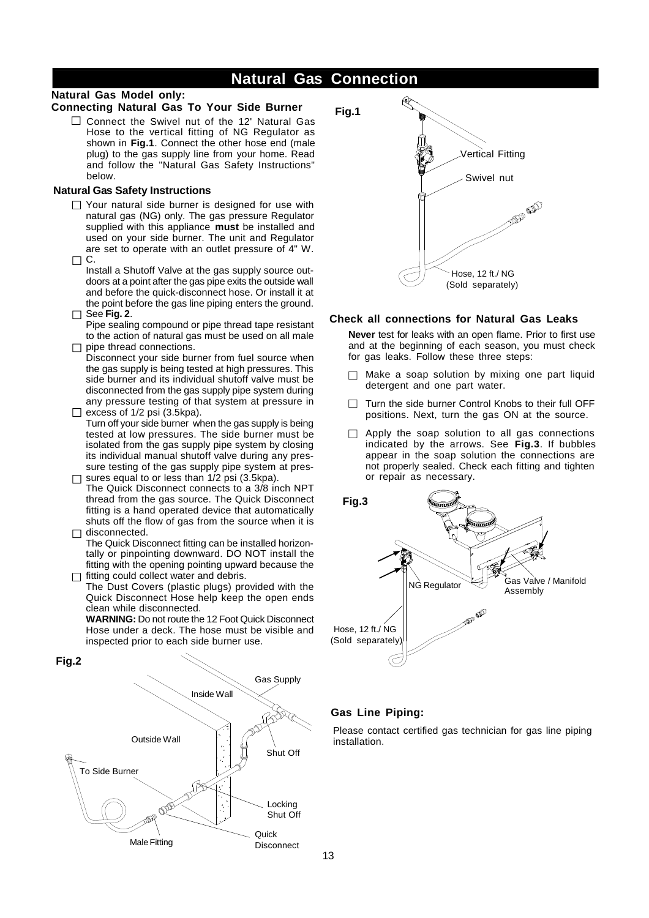### **Natural Gas Connection**

### **Natural Gas Model only:**

### **Connecting Natural Gas To Your Side Burner**

 $\Box$  Connect the Swivel nut of the 12' Natural Gas Hose to the vertical fitting of NG Regulator as shown in **Fig.1**. Connect the other hose end (male plug) to the gas supply line from your home. Read and follow the "Natural Gas Safety Instructions" below.

### **Natural Gas Safety Instructions**

 $\Box$  Your natural side burner is designed for use with natural gas (NG) only. The gas pressure Regulator supplied with this appliance **must** be installed and used on your side burner. The unit and Regulator are set to operate with an outlet pressure of 4" W.  $\Box$  C.

Install a Shutoff Valve at the gas supply source outdoors at a point after the gas pipe exits the outside wall and before the quick-disconnect hose. Or install it at the point before the gas line piping enters the ground.

See **Fig. 2**. Pipe sealing compound or pipe thread tape resistant

to the action of natural gas must be used on all male  $\Box$  pipe thread connections.

Disconnect your side burner from fuel source when the gas supply is being tested at high pressures. This side burner and its individual shutoff valve must be disconnected from the gas supply pipe system during any pressure testing of that system at pressure in  $\Box$  excess of 1/2 psi (3.5kpa).

Turn off your side burner when the gas supply is being tested at low pressures. The side burner must be isolated from the gas supply pipe system by closing its individual manual shutoff valve during any pressure testing of the gas supply pipe system at pres- $\Box$  sures equal to or less than 1/2 psi (3.5kpa).

The Quick Disconnect connects to a 3/8 inch NPT thread from the gas source. The Quick Disconnect fitting is a hand operated device that automatically shuts off the flow of gas from the source when it is  $\Box$  disconnected.

The Quick Disconnect fitting can be installed horizontally or pinpointing downward. DO NOT install the fitting with the opening pointing upward because the  $\Box$  fitting could collect water and debris.

The Dust Covers (plastic plugs) provided with the Quick Disconnect Hose help keep the open ends clean while disconnected.

**WARNING:** Do not route the 12 Foot Quick Disconnect Hose under a deck. The hose must be visible and inspected prior to each side burner use.





### **Check all connections for Natural Gas Leaks**

**Never** test for leaks with an open flame. Prior to first use and at the beginning of each season, you must check for gas leaks. Follow these three steps:

- $\Box$  Make a soap solution by mixing one part liquid detergent and one part water.
- $\Box$  Turn the side burner Control Knobs to their full OFF positions. Next, turn the gas ON at the source.
- $\Box$  Apply the soap solution to all gas connections indicated by the arrows. See **Fig.3**. If bubbles appear in the soap solution the connections are not properly sealed. Check each fitting and tighten or repair as necessary.



### **Gas Line Piping:**

Please contact certified gas technician for gas line piping installation.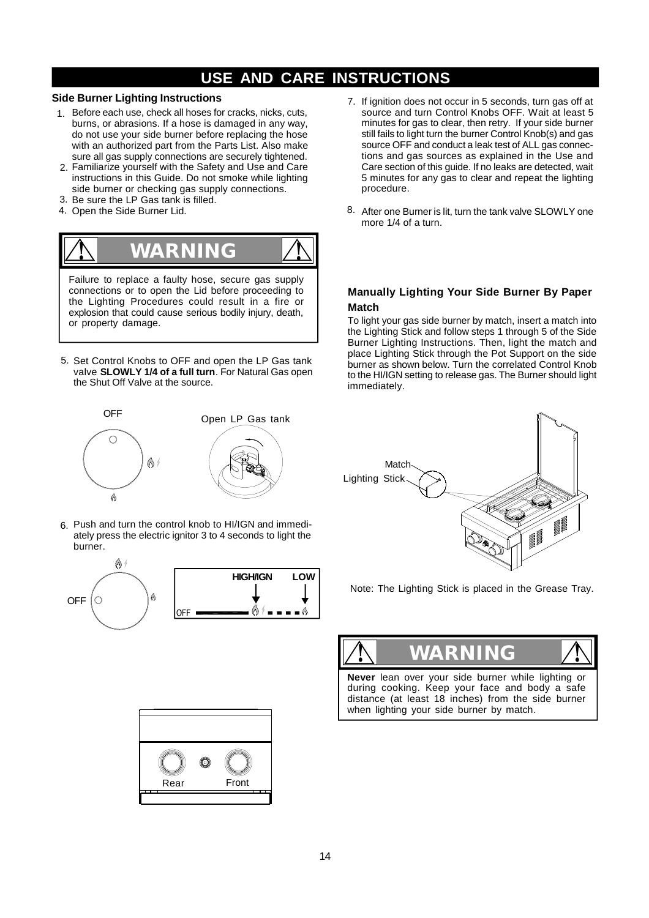### **Side Burner Lighting Instructions**

- 1. Before each use, check all hoses for cracks, nicks, cuts, burns, or abrasions. If a hose is damaged in any way, do not use your side burner before replacing the hose with an authorized part from the Parts List. Also make sure all gas supply connections are securely tightened.
- 2. Familiarize yourself with the Safety and Use and Care instructions in this Guide. Do not smoke while lighting side burner or checking gas supply connections.
- 3. Be sure the LP Gas tank is filled.
- 4. Open the Side Burner Lid.



Failure to replace a faulty hose, secure gas supply connections or to open the Lid before proceeding to the Lighting Procedures could result in a fire or explosion that could cause serious bodily injury, death, or property damage.

5. Set Control Knobs to OFF and open the LP Gas tank valve **SLOWLY 1/4 of a full turn**. For Natural Gas open the Shut Off Valve at the source.



Push and turn the control knob to HI/IGN and immedi-6. ately press the electric ignitor 3 to 4 seconds to light the burner.





- 7. If ignition does not occur in 5 seconds, turn gas off at source and turn Control Knobs OFF. Wait at least 5 minutes for gas to clear, then retry. If your side burner still fails to light turn the burner Control Knob(s) and gas source OFF and conduct a leak test of ALL gas connections and gas sources as explained in the Use and Care section of this guide. If no leaks are detected, wait 5 minutes for any gas to clear and repeat the lighting procedure.
- 8. After one Burner is lit, turn the tank valve SLOWLY one more 1/4 of a turn.

### **Manually Lighting Your Side Burner By Paper Match**

To light your gas side burner by match, insert a match into the Lighting Stick and follow steps 1 through 5 of the Side Burner Lighting Instructions. Then, light the match and place Lighting Stick through the Pot Support on the side burner as shown below. Turn the correlated Control Knob to the HI/IGN setting to release gas. The Burner should light immediately.



Note: The Lighting Stick is placed in the Grease Tray.



**Never** lean over your side burner while lighting or during cooking. Keep your face and body a safe distance (at least 18 inches) from the side burner when lighting your side burner by match.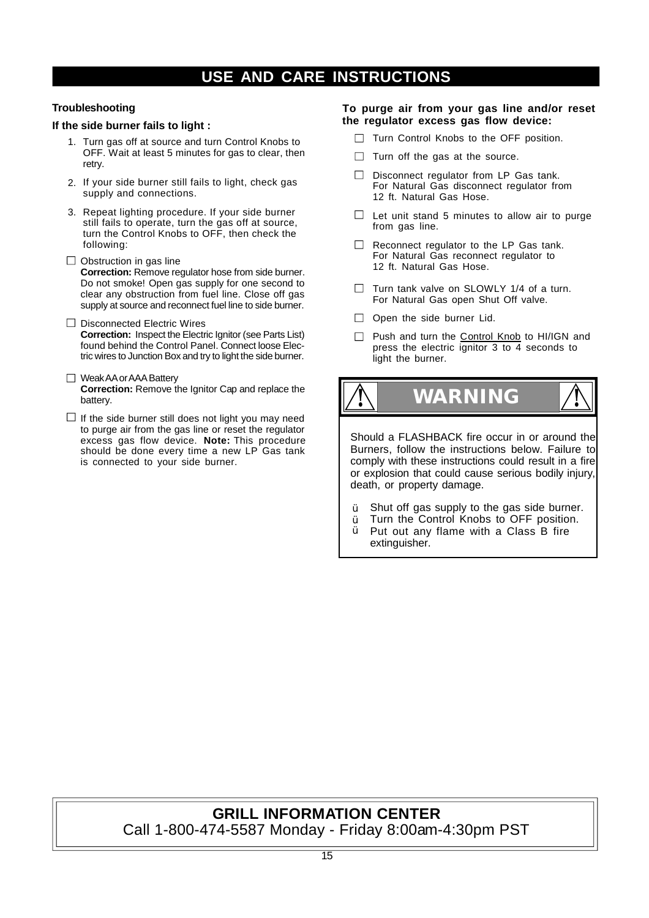### **Troubleshooting**

### **If the side burner fails to light :**

- 1. Turn gas off at source and turn Control Knobs to OFF. Wait at least 5 minutes for gas to clear, then retry.
- 2. If your side burner still fails to light, check gas supply and connections.
- 3. Repeat lighting procedure. If your side burner still fails to operate, turn the gas off at source, turn the Control Knobs to OFF, then check the following:
- $\Box$  Obstruction in gas line **Correction:** Remove regulator hose from side burner. Do not smoke! Open gas supply for one second to clear any obstruction from fuel line. Close off gas supply at source and reconnect fuel line to side burner.
- $\Box$  Disconnected Electric Wires **Correction:** Inspect the Electric Ignitor (see Parts List) found behind the Control Panel. Connect loose Electric wires to Junction Box and try to light the side burner.
- Weak AA or AAA Battery **Correction:** Remove the Ignitor Cap and replace the battery.
- $\Box$  If the side burner still does not light you may need to purge air from the gas line or reset the regulator excess gas flow device. **Note:** This procedure should be done every time a new LP Gas tank is connected to your side burner.

### **To purge air from your gas line and/or reset the regulator excess gas flow device:**

- $\Box$  Turn Control Knobs to the OFF position.
- $\Box$  Turn off the gas at the source.
- $\Box$  Disconnect regulator from LP Gas tank. For Natural Gas disconnect regulator from 12 ft. Natural Gas Hose.
- $\Box$  Let unit stand 5 minutes to allow air to purge from gas line.
- Reconnect regulator to the LP Gas tank.  $\Box$ For Natural Gas reconnect regulator to 12 ft. Natural Gas Hose.
- $\Box$  Turn tank valve on SLOWLY 1/4 of a turn. For Natural Gas open Shut Off valve.
- $\Box$  Open the side burner Lid.
- Push and turn the Control Knob to HI/IGN and press the electric ignitor 3 to 4 seconds to light the burner.

**WARNING ! !**

Should a FLASHBACK fire occur in or around the Burners, follow the instructions below. Failure to comply with these instructions could result in a fire or explosion that could cause serious bodily injury, death, or property damage.

- Shut off gas supply to the gas side burner. Ÿ
- Turn the Control Knobs to OFF position. Ÿ
- Put out any flame with a Class B fire extinguisher. Ÿ

### **GRILL INFORMATION CENTER** Call 1-800-474-5587 Monday - Friday 8:00am-4:30pm PST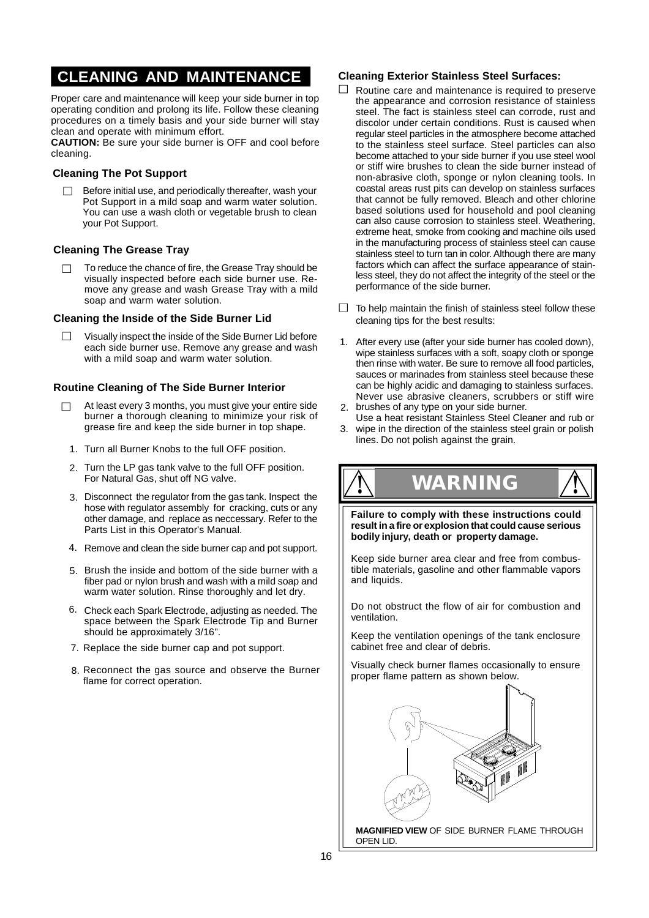### **CLEANING AND MAINTENANCE**

Proper care and maintenance will keep your side burner in top operating condition and prolong its life. Follow these cleaning procedures on a timely basis and your side burner will stay clean and operate with minimum effort.

**CAUTION:** Be sure your side burner is OFF and cool before cleaning.

### **Cleaning The Pot Support**

Before initial use, and periodically thereafter, wash your  $\Box$ Pot Support in a mild soap and warm water solution. You can use a wash cloth or vegetable brush to clean your Pot Support.

### **Cleaning The Grease Tray**

To reduce the chance of fire, the Grease Tray should be  $\Box$ visually inspected before each side burner use. Remove any grease and wash Grease Tray with a mild soap and warm water solution.

### **Cleaning the Inside of the Side Burner Lid**

Visually inspect the inside of the Side Burner Lid before each side burner use. Remove any grease and wash with a mild soap and warm water solution.

### **Routine Cleaning of The Side Burner Interior**

- At least every 3 months, you must give your entire side burner a thorough cleaning to minimize your risk of grease fire and keep the side burner in top shape.
	- 1. Turn all Burner Knobs to the full OFF position.
	- 2. Turn the LP gas tank valve to the full OFF position. For Natural Gas, shut off NG valve.
	- 3. Disconnect the regulator from the gas tank. Inspect the hose with regulator assembly for cracking, cuts or any other damage, and replace as neccessary. Refer to the Parts List in this Operator's Manual.
	- 4. Remove and clean the side burner cap and pot support.
	- 5. Brush the inside and bottom of the side burner with a fiber pad or nylon brush and wash with a mild soap and warm water solution. Rinse thoroughly and let dry.
	- 6. Check each Spark Electrode, adjusting as needed. The space between the Spark Electrode Tip and Burner should be approximately 3/16".
	- 7. Replace the side burner cap and pot support.
	- 8. Reconnect the gas source and observe the Burner flame for correct operation.

### **Cleaning Exterior Stainless Steel Surfaces:**

- Routine care and maintenance is required to preserve the appearance and corrosion resistance of stainless steel. The fact is stainless steel can corrode, rust and discolor under certain conditions. Rust is caused when regular steel particles in the atmosphere become attached to the stainless steel surface. Steel particles can also become attached to your side burner if you use steel wool or stiff wire brushes to clean the side burner instead of non-abrasive cloth, sponge or nylon cleaning tools. In coastal areas rust pits can develop on stainless surfaces that cannot be fully removed. Bleach and other chlorine based solutions used for household and pool cleaning can also cause corrosion to stainless steel. Weathering, extreme heat, smoke from cooking and machine oils used in the manufacturing process of stainless steel can cause stainless steel to turn tan in color. Although there are many factors which can affect the surface appearance of stainless steel, they do not affect the integrity of the steel or the performance of the side burner.
- $\Box$  To help maintain the finish of stainless steel follow these cleaning tips for the best results:
- 1. After every use (after your side burner has cooled down), wipe stainless surfaces with a soft, soapy cloth or sponge then rinse with water. Be sure to remove all food particles, sauces or marinades from stainless steel because these can be highly acidic and damaging to stainless surfaces. Never use abrasive cleaners, scrubbers or stiff wire
- brushes of any type on your side burner. Use a heat resistant Stainless Steel Cleaner and rub or 2.
- wipe in the direction of the stainless steel grain or polish lines. Do not polish against the grain. 3.

**Failure to comply with these instructions could result in a fire or explosion that could cause serious ! WARNING !**

**bodily injury, death or property damage.**

Keep side burner area clear and free from combustible materials, gasoline and other flammable vapors and liquids.

Do not obstruct the flow of air for combustion and ventilation.

Keep the ventilation openings of the tank enclosure cabinet free and clear of debris.

Visually check burner flames occasionally to ensure proper flame pattern as shown below.



**MAGNIFIED VIEW** OF SIDE BURNER FLAME THROUGH OPEN LID.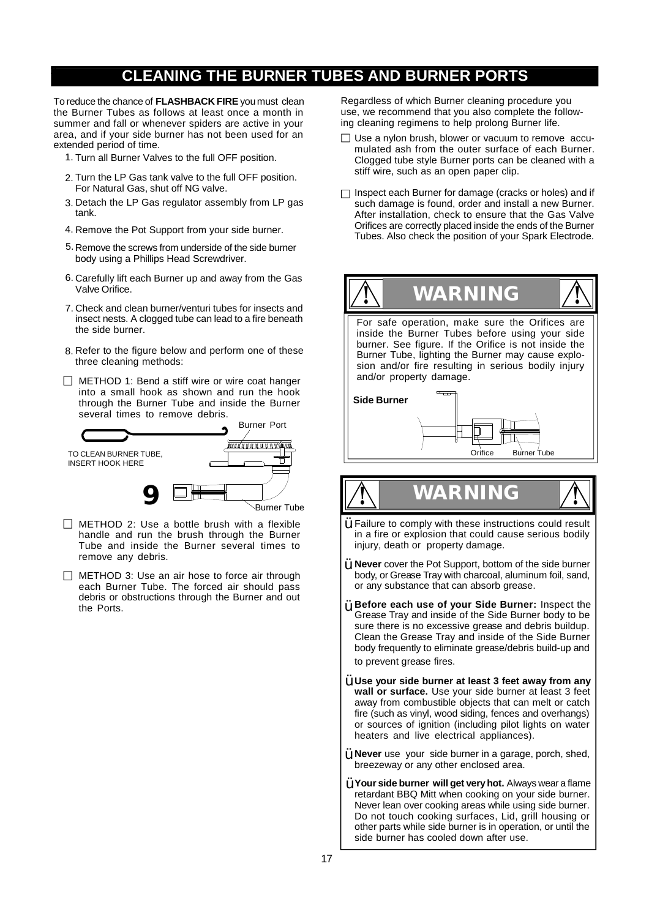### **CLEANING THE BURNER TUBES AND BURNER PORTS**

To reduce the chance of **FLASHBACK FIRE** you must clean the Burner Tubes as follows at least once a month in summer and fall or whenever spiders are active in your area, and if your side burner has not been used for an extended period of time.

- 1. Turn all Burner Valves to the full OFF position.
- 2. Turn the LP Gas tank valve to the full OFF position. For Natural Gas, shut off NG valve.
- 3. Detach the LP Gas regulator assembly from LP gas tank.
- 4. Remove the Pot Support from your side burner.
- 5. Remove the screws from underside of the side burner body using a Phillips Head Screwdriver.
- 6. Carefully lift each Burner up and away from the Gas Valve Orifice.
- 7. Check and clean burner/venturi tubes for insects and insect nests. A clogged tube can lead to a fire beneath the side burner.
- 8. Refer to the figure below and perform one of these three cleaning methods:
- $\Box$  METHOD 1: Bend a stiff wire or wire coat hanger into a small hook as shown and run the hook through the Burner Tube and inside the Burner several times to remove debris.



- $\Box$  METHOD 2: Use a bottle brush with a flexible handle and run the brush through the Burner Tube and inside the Burner several times to remove any debris.
- $\Box$  METHOD 3: Use an air hose to force air through each Burner Tube. The forced air should pass debris or obstructions through the Burner and out the Ports.

Regardless of which Burner cleaning procedure you use, we recommend that you also complete the following cleaning regimens to help prolong Burner life.

- $\Box$  Use a nylon brush, blower or vacuum to remove accumulated ash from the outer surface of each Burner. Clogged tube style Burner ports can be cleaned with a stiff wire, such as an open paper clip.
- $\Box$  Inspect each Burner for damage (cracks or holes) and if such damage is found, order and install a new Burner. After installation, check to ensure that the Gas Valve Orifices are correctly placed inside the ends of the Burner Tubes. Also check the position of your Spark Electrode.



# **! WARNING !**  $\ddot{Y}$  Failure to comply with these instructions could result

- in a fire or explosion that could cause serious bodily injury, death or property damage.
- **Never** cover the Pot Support, bottom of the side burner Ÿ body, or Grease Tray with charcoal, aluminum foil, sand, or any substance that can absorb grease.
- **Before each use of your Side Burner:** Inspect the Ÿ Grease Tray and inside of the Side Burner body to be sure there is no excessive grease and debris buildup. Clean the Grease Tray and inside of the Side Burner body frequently to eliminate grease/debris build-up and to prevent grease fires.
- **Use your side burner at least 3 feet away from any** Ÿ **wall or surface.** Use your side burner at least 3 feet away from combustible objects that can melt or catch fire (such as vinyl, wood siding, fences and overhangs) or sources of ignition (including pilot lights on water heaters and live electrical appliances).
- **Never** use your side burner in a garage, porch, shed, breezeway or any other enclosed area. Ÿ
- **Your side burner will get veryhot.** Always wear a flame Ÿ retardant BBQ Mitt when cooking on your side burner. Never lean over cooking areas while using side burner. Do not touch cooking surfaces, Lid, grill housing or other parts while side burner is in operation, or until the side burner has cooled down after use.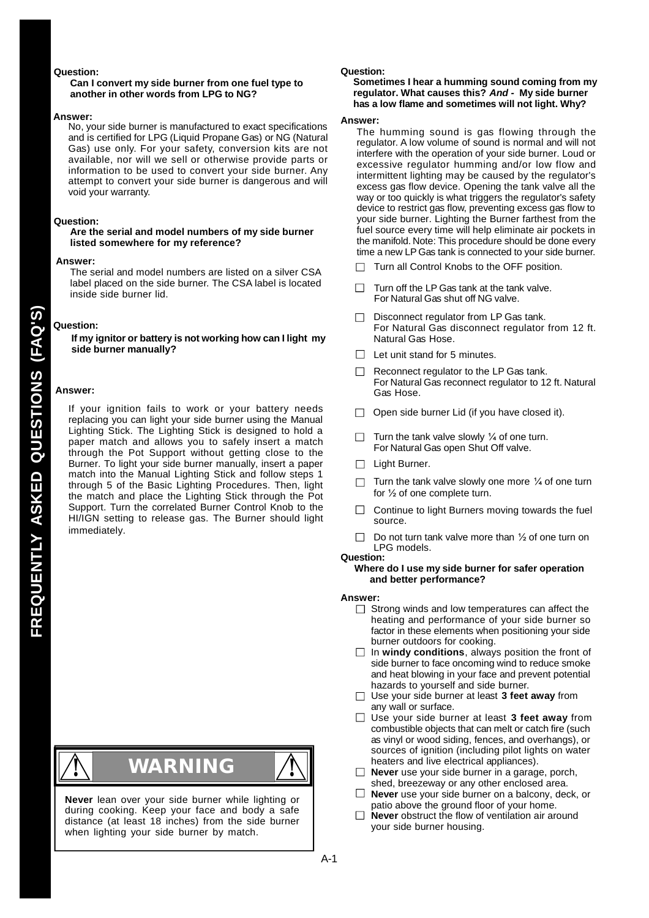#### **Question:**

#### **Can I convert my side burner from one fuel type to another in other words from LPG to NG?**

#### **Answer:**

No, your side burner is manufactured to exact specifications and is certified for LPG (Liquid Propane Gas) or NG (Natural Gas) use only. For your safety, conversion kits are not available, nor will we sell or otherwise provide parts or information to be used to convert your side burner. Any attempt to convert your side burner is dangerous and will void your warranty.

#### **Question:**

#### **Are the serial and model numbers of my side burner listed somewhere for my reference?**

#### **Answer:**

The serial and model numbers are listed on a silver CSA label placed on the side burner. The CSA label is located inside side burner lid.

### **Question:**

**If my ignitor or battery is not working how can I light my side burner manually?**

#### **Answer:**

**FR**

**EQUENT**

**LY**

**KED QU**

**ESTIO**

**N**

**AQ'S)**

**S (F**

**AS** If your ignition fails to work or your battery needs replacing you can light your side burner using the Manual Lighting Stick. The Lighting Stick is designed to hold a paper match and allows you to safely insert a match through the Pot Support without getting close to the Burner. To light your side burner manually, insert a paper match into the Manual Lighting Stick and follow steps 1 through 5 of the Basic Lighting Procedures. Then, light the match and place the Lighting Stick through the Pot Support. Turn the correlated Burner Control Knob to the HI/IGN setting to release gas. The Burner should light immediately.



# **! WARNING !**

**Never** lean over your side burner while lighting or during cooking. Keep your face and body a safe distance (at least 18 inches) from the side burner when lighting your side burner by match.

#### **Question:**

#### **Sometimes I hear a humming sound coming from my regulator. What causes this?** *And -* **My side burner has a low flame and sometimes will not light. Why?**

#### **Answer:**

The humming sound is gas flowing through the regulator. A low volume of sound is normal and will not interfere with the operation of your side burner. Loud or excessive regulator humming and/or low flow and intermittent lighting may be caused by the regulator's excess gas flow device. Opening the tank valve all the way or too quickly is what triggers the regulator's safety device to restrict gas flow, preventing excess gas flow to your side burner. Lighting the Burner farthest from the fuel source every time will help eliminate air pockets in the manifold. Note: This procedure should be done every time a new LP Gas tank is connected to your side burner.

- Turn all Control Knobs to the OFF position.  $\Box$
- Turn off the LP Gas tank at the tank valve. For Natural Gas shut off NG valve.
- Disconnect regulator from LP Gas tank.  $\Box$ For Natural Gas disconnect regulator from 12 ft. Natural Gas Hose.
- $\Box$  Let unit stand for 5 minutes.
- $\Box$  Reconnect regulator to the LP Gas tank. For Natural Gas reconnect regulator to 12 ft. Natural Gas Hose.
- $\Box$  Open side burner Lid (if you have closed it).
- П Turn the tank valve slowly ¼ of one turn. For Natural Gas open Shut Off valve.
- $\Box$  Light Burner.
- Turn the tank valve slowly one more ¼ of one turn  $\Box$ for ½ of one complete turn.
- $\Box$ Continue to light Burners moving towards the fuel source.
- Do not turn tank valve more than ½ of one turn on П LPG models.

### **Question:**

#### **Where do I use my side burner for safer operation and better performance?**

#### **Answer:**

- $\Box$  Strong winds and low temperatures can affect the heating and performance of your side burner so factor in these elements when positioning your side burner outdoors for cooking.
- $\Box$  In **windy conditions**, always position the front of side burner to face oncoming wind to reduce smoke and heat blowing in your face and prevent potential hazards to yourself and side burner.
- Use your side burner at least **3 feet away** from any wall or surface.
- Use your side burner at least **3 feet away** from combustible objects that can melt or catch fire (such as vinyl or wood siding, fences, and overhangs), or sources of ignition (including pilot lights on water heaters and live electrical appliances).
- **Never** use your side burner in a garage, porch, shed, breezeway or any other enclosed area.
- **Never** use your side burner on a balcony, deck, or patio above the ground floor of your home.
- $\Box$ **Never** obstruct the flow of ventilation air around your side burner housing.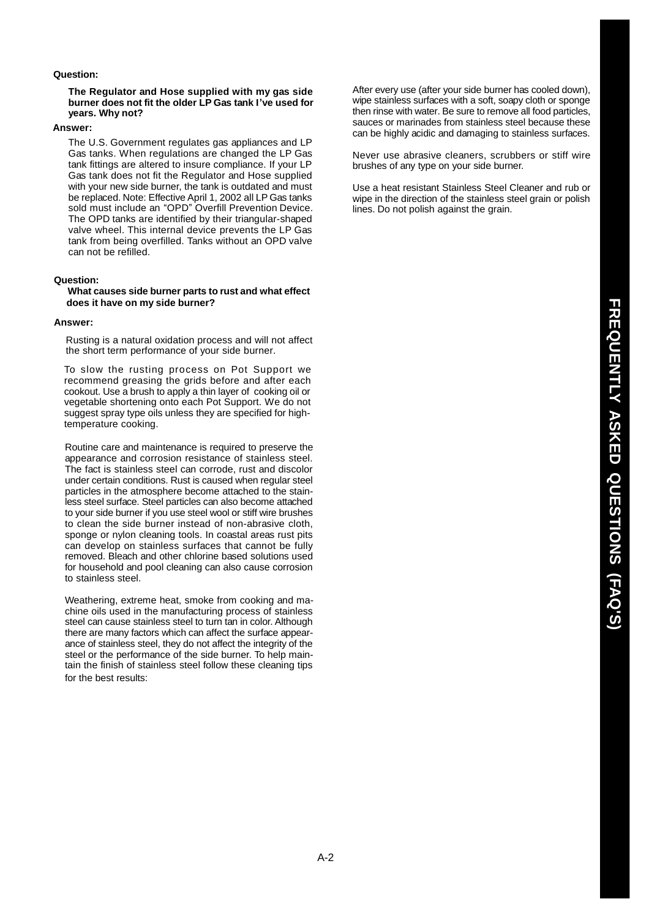### **Question:**

### **The Regulator and Hose supplied with my gas side burner does not fit the older LP Gas tank I've used for years. Why not?**

#### **Answer:**

The U.S. Government regulates gas appliances and LP Gas tanks. When regulations are changed the LP Gas tank fittings are altered to insure compliance. If your LP Gas tank does not fit the Regulator and Hose supplied with your new side burner, the tank is outdated and must be replaced. Note: Effective April 1, 2002 all LP Gas tanks sold must include an "OPD" Overfill Prevention Device. The OPD tanks are identified by their triangular-shaped valve wheel. This internal device prevents the LP Gas tank from being overfilled. Tanks without an OPD valve can not be refilled.

### **Question:**

**What causes side burner parts to rust and what effect does it have on my side burner?**

#### **Answer:**

Rusting is a natural oxidation process and will not affect the short term performance of your side burner.

To slow the rusting process on Pot Support we recommend greasing the grids before and after each cookout. Use a brush to apply a thin layer of cooking oil or vegetable shortening onto each Pot Support. We do not suggest spray type oils unless they are specified for hightemperature cooking.

Routine care and maintenance is required to preserve the appearance and corrosion resistance of stainless steel. The fact is stainless steel can corrode, rust and discolor under certain conditions. Rust is caused when regular steel particles in the atmosphere become attached to the stainless steel surface. Steel particles can also become attached to your side burner if you use steel wool or stiff wire brushes to clean the side burner instead of non-abrasive cloth, sponge or nylon cleaning tools. In coastal areas rust pits can develop on stainless surfaces that cannot be fully removed. Bleach and other chlorine based solutions used for household and pool cleaning can also cause corrosion to stainless steel.

Weathering, extreme heat, smoke from cooking and machine oils used in the manufacturing process of stainless steel can cause stainless steel to turn tan in color. Although there are many factors which can affect the surface appearance of stainless steel, they do not affect the integrity of the steel or the performance of the side burner. To help maintain the finish of stainless steel follow these cleaning tips for the best results:

After every use (after your side burner has cooled down), wipe stainless surfaces with a soft, soapy cloth or sponge then rinse with water. Be sure to remove all food particles, sauces or marinades from stainless steel because these can be highly acidic and damaging to stainless surfaces.

Never use abrasive cleaners, scrubbers or stiff wire brushes of any type on your side burner.

Use a heat resistant Stainless Steel Cleaner and rub or wipe in the direction of the stainless steel grain or polish lines. Do not polish against the grain.